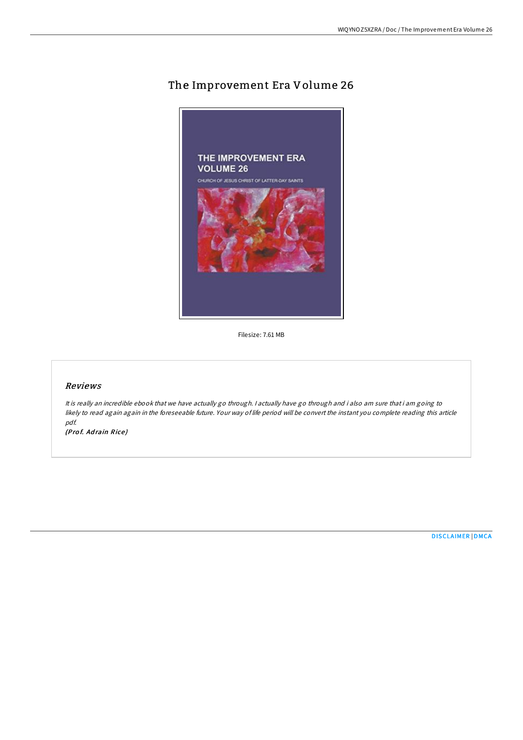# The Improvement Era Volume 26



Filesize: 7.61 MB

## Reviews

It is really an incredible ebook that we have actually go through. I actually have go through and i also am sure that i am going to likely to read again again in the foreseeable future. Your way of life period will be convert the instant you complete reading this article pdf.

(Prof. Adrain Rice)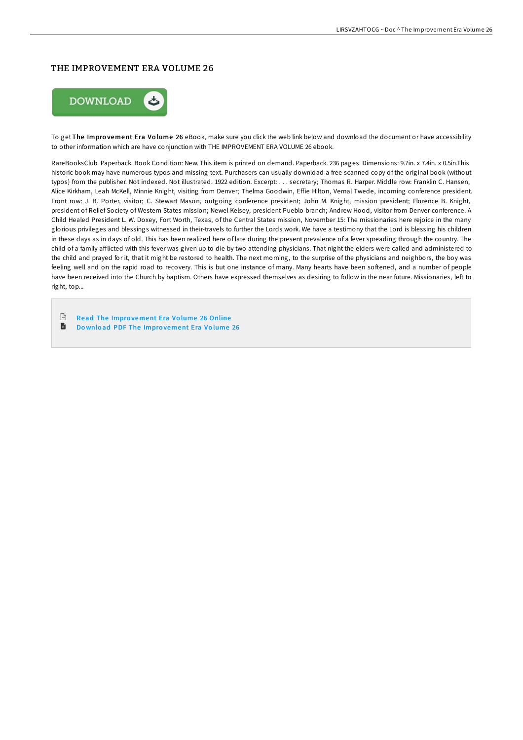#### THE IMPROVEMENT ERA VOLUME 26



To get The Impro vement Era Vo lume 26 eBook, make sure you click the web link below and download the document or have accessibility to other information which are have conjunction with THE IMPROVEMENT ERA VOLUME 26 ebook.

RareBooksClub. Paperback. Book Condition: New. This item is printed on demand. Paperback. 236 pages. Dimensions: 9.7in. x 7.4in. x 0.5in.This historic book may have numerous typos and missing text. Purchasers can usually download a free scanned copy of the original book (without typos) from the publisher. Not indexed. Not illustrated. 1922 edition. Excerpt: . . . secretary; Thomas R. Harper. Middle row: Franklin C. Hansen, Alice Kirkham, Leah McKell, Minnie Knight, visiting from Denver; Thelma Goodwin, Effie Hilton, Vernal Twede, incoming conference president. Front row: J. B. Porter, visitor; C. Stewart Mason, outgoing conference president; John M. Knight, mission president; Florence B. Knight, president of Relief Society of Western States mission; Newel Kelsey, president Pueblo branch; Andrew Hood, visitor from Denver conference. A Child Healed President L. W. Doxey, Fort Worth, Texas, of the Central States mission, November 15: The missionaries here rejoice in the many glorious privileges and blessings witnessed in their-travels to further the Lords work. We have a testimony that the Lord is blessing his children in these days as in days of old. This has been realized here of late during the present prevalence of a fever spreading through the country. The child of a family afflicted with this fever was given up to die by two attending physicians. That night the elders were called and administered to the child and prayed for it, that it might be restored to health. The next morning, to the surprise of the physicians and neighbors, the boy was feeling well and on the rapid road to recovery. This is but one instance of many. Many hearts have been softened, and a number of people have been received into the Church by baptism. Others have expressed themselves as desiring to follow in the near future. Missionaries, left to right, top...

- $PSE$ Read The Impro [vement](http://almighty24.tech/the-improvement-era-volume-26.html) Era Vo lume 26 Online
- 旨 Do wnlo ad PDF The Impro [vement](http://almighty24.tech/the-improvement-era-volume-26.html) Era Vo lume 26